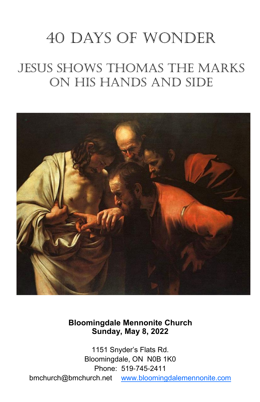# 40 days of wonder

## Jesus Shows Thomas the Marks on His Hands and Side



**Bloomingdale Mennonite Church Sunday, May 8, 2022**

1151 Snyder's Flats Rd. Bloomingdale, ON N0B 1K0 Phone: 519-745-2411 bmchurch@bmchurch.net [www.bloomingdalemennonite.com](http://www.bloomingdalemennonite.com/)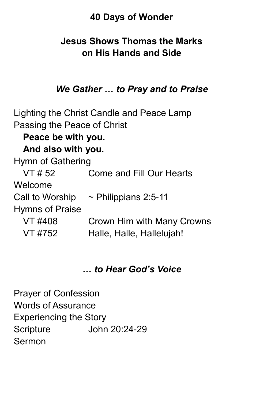## **40 Days of Wonder**

## **Jesus Shows Thomas the Marks on His Hands and Side**

## *We Gather … to Pray and to Praise*

Lighting the Christ Candle and Peace Lamp Passing the Peace of Christ **Peace be with you. And also with you.** Hymn of Gathering VT # 52 Come and Fill Our Hearts Welcome Call to Worship  $\sim$  Philippians 2:5-11 Hymns of Praise VT #408 Crown Him with Many Crowns VT #752 Halle, Halle, Hallelujah!

## *… to Hear God's Voice*

Prayer of Confession Words of Assurance Experiencing the Story Scripture John 20:24-29 Sermon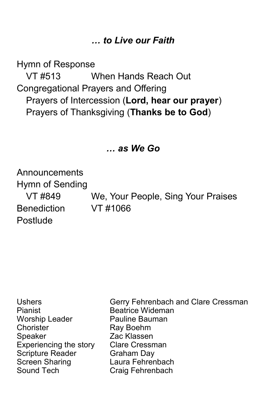## *… to Live our Faith*

Hymn of Response

VT #513 When Hands Reach Out Congregational Prayers and Offering Prayers of Intercession (**Lord, hear our prayer**) Prayers of Thanksgiving (**Thanks be to God**)

## *… as We Go*

Announcements Hymn of Sending Benediction VT #1066

**Postlude** 

VT #849 We, Your People, Sing Your Praises

Pianist Beatrice Wideman Worship Leader **Pauline Bauman** Chorister Ray Boehm Speaker **Zac Klassen** Experiencing the story Clare Cressman Scripture Reader Graham Day Sound Tech Craig Fehrenbach

Ushers Gerry Fehrenbach and Clare Cressman Laura Fehrenbach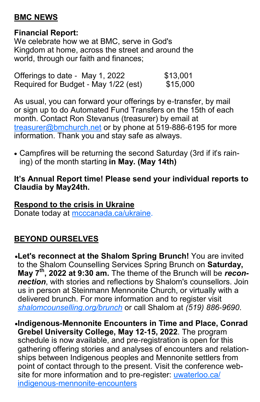## **BMC NEWS**

#### **Financial Report:**

We celebrate how we at BMC, serve in God's Kingdom at home, across the street and around the world, through our faith and finances;

Offerings to date - May 1, 2022 \$13,001<br>Required for Budget - May 1/22 (est) \$15,000 Required for Budget - May 1/22 (est)

As usual, you can forward your offerings by e-transfer, by mail or sign up to do Automated Fund Transfers on the 15th of each month. Contact Ron Stevanus (treasurer) by email at [treasurer@bmchurch.net](mailto:treasurer@bmchurch.net) or by phone at 519-886-6195 for more information. Thank you and stay safe as always.

• Campfires will be returning the second Saturday (3rd if it's raining) of the month starting **in May. (May 14th)**

#### **It's Annual Report time! Please send your individual reports to Claudia by May24th.**

**Respond to the crisis in Ukraine** Donate today at [mcccanada.ca/ukraine.](https://mennonitecentralcommittee.cmail20.com/t/i-l-chhjkdl-tyukkykljr-j/)

## **BEYOND OURSELVES**

•**Let's reconnect at the Shalom Spring Brunch!** You are invited to the Shalom Counselling Services Spring Brunch on **Saturday, May 7th, 2022 at 9:30 am.** The theme of the Brunch will be *reconnection*, with stories and reflections by Shalom's counsellors. Join us in person at Steinmann Mennonite Church, or virtually with a delivered brunch. For more information and to register visit *[shalomcounselling.org/brunch](https://shalomcounselling.org/civicrm/mailing/url?u=37&qid=1522)* or call Shalom at *(519) 886-9690*.

•**Indigenous-Mennonite Encounters in Time and Place, Conrad Grebel University College, May 12-15, 2022**. The program schedule is now available, and pre-registration is open for this gathering offering stories and analyses of encounters and relationships between Indigenous peoples and Mennonite settlers from point of contact through to the present. Visit the conference website for more information and to pre-register: [uwaterloo.ca/](https://uwaterloo.ca/indigenous-mennonite-encounters) [indigenous-mennonite-encounters](https://uwaterloo.ca/indigenous-mennonite-encounters)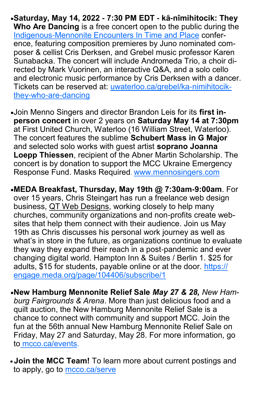- •**Saturday, May 14, 2022 - 7:30 PM EDT - kȃ-nîmihitocik: They Who Are Dancing** is a free concert open to the public during the [Indigenous-Mennonite Encounters In Time and Place](https://uwaterloo.ca/indigenous-mennonite-encounters/) conference, featuring composition premieres by Juno nominated composer & cellist Cris Derksen, and Grebel music professor Karen Sunabacka. The concert will include Andromeda Trio, a choir directed by Mark Vuorinen, an interactive Q&A, and a solo cello and electronic music performance by Cris Derksen with a dancer. Tickets can be reserved at: [uwaterloo.ca/grebel/ka-nimihitocik](https://uwaterloo.ca/grebel/ka-nimihitocik-they-who-are-dancing)[they-who-are-dancing](https://uwaterloo.ca/grebel/ka-nimihitocik-they-who-are-dancing)
- •Join Menno Singers and director Brandon Leis for its **first inperson concert** in over 2 years on **Saturday May 14 at 7:30pm**  at First United Church, Waterloo (16 William Street, Waterloo). The concert features the sublime **Schubert Mass in G Major** and selected solo works with guest artist **soprano Joanna Loepp Thiessen**, recipient of the Abner Martin Scholarship. The concert is by donation to support the MCC Ukraine Emergency Response Fund. Masks Required. [www.mennosingers.com](http://www.mennosingers.com/)
- •**MEDA Breakfast, Thursday, May 19th @ 7:30am-9:00am**. For over 15 years, Chris Steingart has run a freelance web design business, [QT Web Designs,](http://ca.engagingnetworks.app/page/email/click/2233/5882232?email=GMhKSvC6YdvQ%2FdQzvxOYLLN3BLtevOHi&campid=P7fJN0s%2BPXu%2FgO2vkuoghg==) working closely to help many churches, community organizations and non-profits create websites that help them connect with their audience. Join us May 19th as Chris discusses his personal work journey as well as what's in store in the future, as organizations continue to evaluate they way they expand their reach in a post-pandemic and ever changing digital world. Hampton Inn & Suites / Berlin 1. \$25 for adults, \$15 for students, payable online or at the door. [https://](https://engage.meda.org/page/104406/subscribe/1) [engage.meda.org/page/104406/subscribe/1](https://engage.meda.org/page/104406/subscribe/1)
- •**New Hamburg Mennonite Relief Sale** *May 27 & 28, New Hamburg Fairgrounds & Arena*. More than just delicious food and a quilt auction, the New Hamburg Mennonite Relief Sale is a chance to connect with community and support MCC. Join the fun at the 56th annual New Hamburg Mennonite Relief Sale on Friday, May 27 and Saturday, May 28. For more information, go to [mcco.ca/events.](https://mennonitecentralcommittee.cmail19.com/t/i-l-cuykyhk-tjidurzp-t/)
- •**Join the MCC Team!** To learn more about current postings and to apply, go to [mcco.ca/serve](https://mennonitecentralcommittee.cmail19.com/t/i-l-cdylkyk-tyiuhytuuk-d/)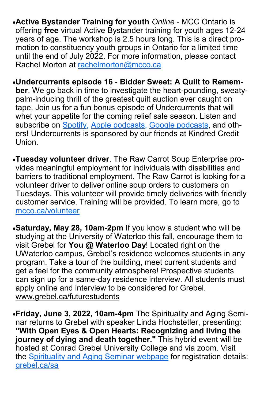- •**Active Bystander Training for youth** *Online* MCC Ontario is offering **free** virtual Active Bystander training for youth ages 12-24 years of age. The workshop is 2.5 hours long. This is a direct promotion to constituency youth groups in Ontario for a limited time until the end of July 2022. For more information, please contact Rachel Morton at [rachelmorton@mcco.ca](mailto:rachelmorton@mcco.ca)
- •**Undercurrents episode 16 - Bidder Sweet: A Quilt to Remember**. We go back in time to investigate the heart-pounding, sweatypalm-inducing thrill of the greatest quilt auction ever caught on tape. Join us for a fun bonus episode of Undercurrents that will whet your appetite for the coming relief sale season. Listen and subscribe on [Spotify,](https://mennonitecentralcommittee.cmail19.com/t/i-l-cuykyhk-tjidurzp-i/) [Apple podcasts,](https://mennonitecentralcommittee.cmail19.com/t/i-l-cuykyhk-tjidurzp-d/) [Google podcasts,](https://mennonitecentralcommittee.cmail19.com/t/i-l-cuykyhk-tjidurzp-h/) and others! Undercurrents is sponsored by our friends at Kindred Credit Union.
- •**Tuesday volunteer driver**. The Raw Carrot Soup Enterprise provides meaningful employment for individuals with disabilities and barriers to traditional employment. The Raw Carrot is looking for a volunteer driver to deliver online soup orders to customers on Tuesdays. This volunteer will provide timely deliveries with friendly customer service. Training will be provided. To learn more, go to [mcco.ca/volunteer](https://mennonitecentralcommittee.cmail19.com/t/i-l-cuykyhk-tjidurzp-b/)
- •**Saturday, May 28, 10am-2pm** If you know a student who will be studying at the University of Waterloo this fall, encourage them to visit Grebel for **You @ Waterloo Day**! Located right on the UWaterloo campus, Grebel's residence welcomes students in any program. Take a tour of the building, meet current students and get a feel for the community atmosphere! Prospective students can sign up for a same-day residence interview. All students must apply online and interview to be considered for Grebel. [www.grebel.ca/futurestudents](http://www.grebel.ca/futurestudents)
- •**Friday, June 3, 2022, 10am-4pm** The Spirituality and Aging Seminar returns to Grebel with speaker Linda Hochstetler, presenting: **"With Open Eyes & Open Hearts: Recognizing and living the journey of dying and death together."** This hybrid event will be hosted at Conrad Grebel University College and via zoom. Visit the S[pirituality and Aging Seminar webpage](https://uwaterloo.ca/grebel/events/spirituality-and-aging-seminar) for registration details: [grebel.ca/sa](http://grebel.ca/sa)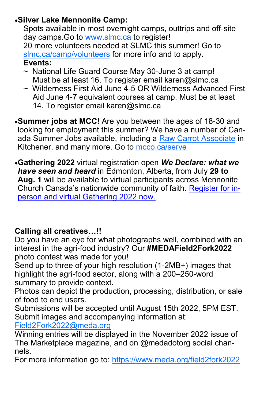#### •**Silver Lake Mennonite Camp:**

Spots available in most overnight camps, outtrips and off-site day camps.Go to [www.slmc.ca](http://www.slmc.ca) to register! 20 more volunteers needed at SLMC this summer! Go to <slmc.ca/camp/volunteers> for more info and to apply. **Events:**

- ~ National Life Guard Course May 30-June 3 at camp! Must be at least 16. To register email karen@slmc.ca
- ~ Wilderness First Aid June 4-5 OR Wilderness Advanced First Aid June 4-7 equivalent courses at camp. Must be at least 14. To register email karen@slmc.ca
- •**Summer jobs at MCC!** Are you between the ages of 18-30 and looking for employment this summer? We have a number of Canada Summer Jobs available, including a [Raw Carrot Associate](https://mennonitecentralcommittee.cmail19.com/t/i-l-cuykyhk-tjidurzp-p/) in Kitchener, and many more. Go to [mcco.ca/serve](https://mennonitecentralcommittee.cmail19.com/t/i-l-cuykyhk-tjidurzp-m/)
- •**Gathering 2022** virtual registration open *We Declare: what we have seen and heard* in Edmonton, Alberta, from July **29 to Aug. 1** will be available to virtual participants across Mennonite Church Canada's nationwide community of faith. [Register for in](https://mcec.us20.list-manage.com/track/click?u=148d8aa0248ccb8acc31f00a2&id=27e4b4c7af&e=7cf3365c41)[person and virtual Gathering 2022 now.](https://mcec.us20.list-manage.com/track/click?u=148d8aa0248ccb8acc31f00a2&id=27e4b4c7af&e=7cf3365c41)

## **Calling all creatives…!!**

Do you have an eye for what photographs well, combined with an interest in the agri-food industry? Our **#MEDAField2Fork2022**  photo contest was made for you!

Send up to three of your high resolution (1-2MB+) images that highlight the agri-food sector, along with a 200–250-word summary to provide context.

Photos can depict the production, processing, distribution, or sale of food to end users.

Submissions will be accepted until August 15th 2022, 5PM EST. Submit images and accompanying information at:

[Field2Fork2022@meda.org](mailto:Field2Fork2022@meda.org)

Winning entries will be displayed in the November 2022 issue of The Marketplace magazine, and on @medadotorg social channels.

For more information go to: <https://www.meda.org/field2fork2022>